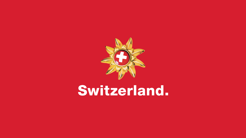

# Switzerland.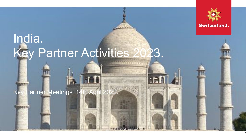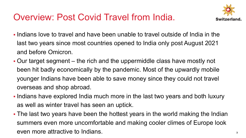#### Overview: Post Covid Travel from India.



- § Indians love to travel and have been unable to travel outside of India in the last two years since most countries opened to India only post August 2021 and before Omicron.
- § Our target segment the rich and the uppermiddle class have mostly not been hit badly economically by the pandemic. Most of the upwardly mobile younger Indians have been able to save money since they could not travel overseas and shop abroad.
- § Indians have explored India much more in the last two years and both luxury as well as winter travel has seen an uptick.
- The last two years have been the hottest years in the world making the Indian summers even more uncomfortable and making cooler climes of Europe look even more attractive to Indians.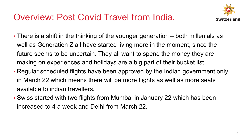#### Overview: Post Covid Travel from India.



- There is a shift in the thinking of the younger generation both millenials as well as Generation Z all have started living more in the moment, since the future seems to be uncertain. They all want to spend the money they are making on experiences and holidays are a big part of their bucket list.
- § Regular scheduled flights have been approved by the Indian government only in March 22 which means there will be more flights as well as more seats available to indian travellers.
- § Swiss started with two flights from Mumbai in January 22 which has been increased to 4 a week and Delhi from March 22.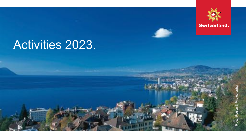

### Activities 2023.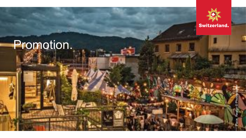### Promotion.



**Switzerland.**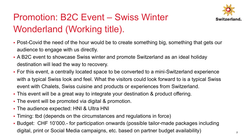

#### Promotion: B2C Event – Swiss Winter Wonderland (Working title).

- Post-Covid the need of the hour would be to create something big, something that gets our audience to engage with us directly.
- § A B2C event to showcase Swiss winter and promote Switzerland as an ideal holiday destination will lead the way to recovery.
- § For this event, a centrally located space to be converted to a mini-Switzerland experience with a typical Swiss look and feel. What the visitors could look forward to is a typical Swiss event with Chalets, Swiss cuisine and products or experiences from Switzerland.
- § This event will be a great way to integrate your destination & product offering.
- The event will be promoted via digital & promotion.
- § The audience expected: HNI & Ultra HNI
- Timing: tbd (depends on the circumstances and regulations in force)
- § Budget: CHF 10'000.- for participation onwards (possible tailor-made packages including digital, print or Social Media campaigns, etc. based on partner budget availability) **<sup>7</sup>**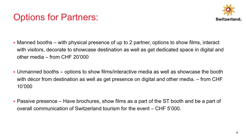#### Options for Partners:



- Manned booths with physical presence of up to 2 partner, options to show films, interact with visitors, decorate to showcase destination as well as get dedicated space in digital and other media – from CHF 20'000
- § Unmanned booths options to show films/interactive media as well as showcase the booth with décor from destination as well as get presence on digital and other media. – from CHF 10'000
- § Passive presence Have brochures, show films as a part of the ST booth and be a part of overall communication of Switzerland tourism for the event – CHF 5'000.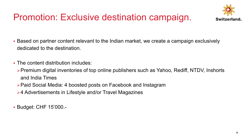#### Promotion: Exclusive destination campaign.



- § Based on partner content relevant to the Indian market, we create a campaign exclusively dedicated to the destination.
- The content distribution includes:
	- **≽Premium digital inventories of top online publishers such as Yahoo, Rediff, NTDV, Inshorts** and India Times
	- ØPaid Social Media: 4 boosted posts on Facebook and Instagram
	- **▶4 Advertisements in Lifestyle and/or Travel Magazines**
- § Budget: CHF 15'000.-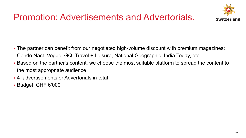#### Promotion: Advertisements and Advertorials.



- The partner can benefit from our negotiated high-volume discount with premium magazines: Conde Nast, Vogue, GQ, Travel + Leisure, National Geographic, India Today, etc.
- § Based on the partner's content, we choose the most suitable platform to spread the content to the most appropriate audience
- § 4 advertisements or Advertorials in total
- § Budget: CHF 6'000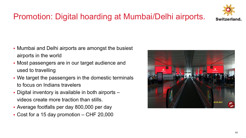#### Promotion: Digital hoarding at Mumbai/Delhi airports.

**Switzerland** 

- Mumbai and Delhi airports are amongst the busiest airports in the world
- Most passengers are in our target audience and used to travelling
- We target the passengers in the domestic terminals to focus on Indians travelers
- Digital inventory is available in both airports videos create more traction than stills.
- § Average footfalls per day 800,000 per day
- Cost for a 15 day promotion CHF 20,000

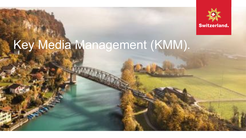

# Key Media Management (KMM).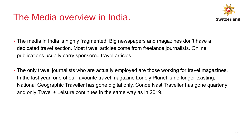#### The Media overview in India.



- § The media in India is highly fragmented. Big newspapers and magazines don't have a dedicated travel section. Most travel articles come from freelance journalists. Online publications usually carry sponsored travel articles.
- The only travel journalists who are actually employed are those working for travel magazines. In the last year, one of our favourite travel magazine Lonely Planet is no longer existing, National Geographic Traveller has gone digital only, Conde Nast Traveller has gone quarterly and only Travel + Leisure continues in the same way as in 2019.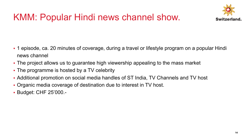### KMM: Popular Hindi news channel show.



- § 1 episode, ca. 20 minutes of coverage, during a travel or lifestyle program on a popular Hindi news channel
- The project allows us to guarantee high viewership appealing to the mass market
- The programme is hosted by a TV celebrity
- § Additional promotion on social media handles of ST India, TV Channels and TV host
- § Organic media coverage of destination due to interest in TV host.
- § Budget: CHF 25'000.-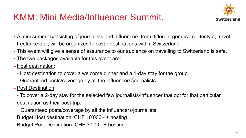#### KMM: Mini Media/Influencer Summit.



- § A mini summit consisting of journalists and influencers from different genres i.e. lifestyle, travel, freelance etc., will be organized to cover destinations within Switzerland.
- This event will give a sense of assurance to our audience on travelling to Switzerland is safe.
- The two packages available for this event are:
- **► Host destination:** 
	- Host destination to cover a welcome dinner and a 1-day stay for the group.
	- Guaranteed posts/coverage by all the influencers/journalists.
- **► Post Destination:** 
	- To cover a 2-day stay for the selected few journalists/influencer that opt for that particular destination as their post-trip.
	- Guaranteed posts/coverage by all the influencers/journalists Budget Host destination: CHF 10'000.- + hosting Budget Post Destination: CHF 3'000.- + hosting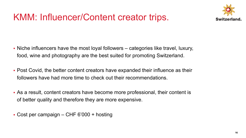#### KMM: Influencer/Content creator trips.



- § Niche influencers have the most loyal followers categories like travel, luxury, food, wine and photography are the best suited for promoting Switzerland.
- § Post Covid, the better content creators have expanded their influence as their followers have had more time to check out their recommendations.
- § As a result, content creators have become more professional, their content is of better quality and therefore they are more expensive.
- § Cost per campaign CHF 6'000 + hosting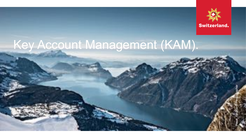

### Key Account Management (KAM).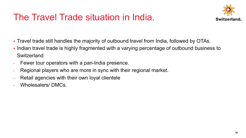#### The Travel Trade situation in India.



- Travel trade still handles the majority of outbound travel from India, followed by OTAs.
- Indian travel trade is highly fragmented with a varying percentage of outbound business to **Switzerland**
- Fewer tour operators with a pan-India presence.
- Regional players who are more in sync with their regional market.
- Retail agencies with their own loyal clientele
- Wholesalers/DMCs.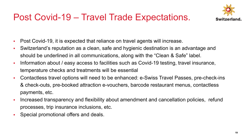#### Post Covid-19 – Travel Trade Expectations.



- § Post Covid-19, it is expected that reliance on travel agents will increase.
- § Switzerland's reputation as a clean, safe and hygienic destination is an advantage and should be underlined in all communications, along with the "Clean & Safe" label.
- Information about / easy access to facilities such as Covid-19 testing, travel insurance, temperature checks and treatments will be essential
- Contactless travel options will need to be enhanced: e-Swiss Travel Passes, pre-check-ins & check-outs, pre-booked attraction e-vouchers, barcode restaurant menus, contactless payments, etc.
- Increased transparency and flexibility about amendment and cancellation policies, refund processes, trip insurance inclusions, etc.
- § Special promotional offers and deals.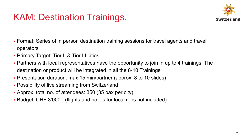#### KAM: Destination Trainings.



- Format: Series of in person destination training sessions for travel agents and travel operators
- § Primary Target: Tier II & Tier III cities
- Partners with local representatives have the opportunity to join in up to 4 trainings. The destination or product will be integrated in all the 8-10 Trainings
- Presentation duration: max.15 min/partner (approx. 8 to 10 slides)
- **Possibility of live streaming from Switzerland**
- § Approx. total no. of attendees: 350 (35 pax per city)
- § Budget: CHF 3'000.- (flights and hotels for local reps not included)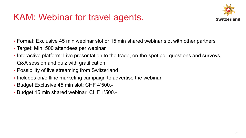#### KAM: Webinar for travel agents.



- § Format: Exclusive 45 min webinar slot or 15 min shared webinar slot with other partners
- Target: Min. 500 attendees per webinar
- Interactive platform: Live presentation to the trade, on-the-spot poll questions and surveys, Q&A session and quiz with gratification
- Possibility of live streaming from Switzerland
- Includes on/offline marketing campaign to advertise the webinar
- § Budget Exclusive 45 min slot: CHF 4'500.-
- § Budget 15 min shared webinar: CHF 1'500.-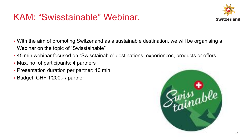#### KAM: "Swisstainable" Webinar.



- § With the aim of promoting Switzerland as a sustainable destination, we will be organising a Webinar on the topic of "Swisstainable"
- § 45 min webinar focused on "Swisstainable" destinations, experiences, products or offers
- Max. no. of participants: 4 partners
- Presentation duration per partner: 10 min
- § Budget: CHF 1'200.- / partner

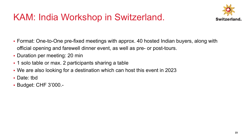#### KAM: India Workshop in Switzerland.



- § Format: One-to-One pre-fixed meetings with approx. 40 hosted Indian buyers, along with official opening and farewell dinner event, as well as pre- or post-tours.
- Duration per meeting: 20 min
- 1 solo table or max. 2 participants sharing a table
- § We are also looking for a destination which can host this event in 2023
- § Date: tbd
- § Budget: CHF 3'000.-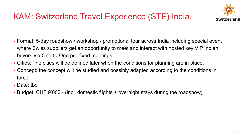

#### KAM: Switzerland Travel Experience (STE) India.

- Format: 5-day roadshow / workshop / promotional tour across India including special event where Swiss suppliers get an opportunity to meet and interact with hosted key VIP Indian buyers via One-to-One pre-fixed meetings
- § Cities: The cities will be defined later when the conditions for planning are in place.
- § Concept: the concept will be studied and possibly adapted according to the conditions in force
- § Date: tbd
- § Budget: CHF 9'000.- (incl. domestic flights + overnight stays during the roadshow).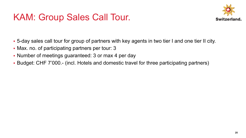#### KAM: Group Sales Call Tour.



- § 5-day sales call tour for group of partners with key agents in two tier I and one tier II city.
- Max. no. of participating partners per tour: 3
- Number of meetings guaranteed: 3 or max 4 per day
- § Budget: CHF 7'000.- (incl. Hotels and domestic travel for three participating partners)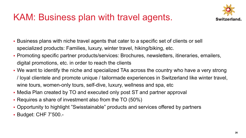#### KAM: Business plan with travel agents.



- § Business plans with niche travel agents that cater to a specific set of clients or sell specialized products: Families, luxury, winter travel, hiking/biking, etc.
- § Promoting specific partner products/services: Brochures, newsletters, itineraries, emailers, digital promotions, etc. in order to reach the clients
- We want to identify the niche and specialized TAs across the country who have a very strong / loyal clientele and promote unique / tailormade experiences in Switzerland like winter travel, wine tours, women-only tours, self-dive, luxury, wellness and spa, etc
- Media Plan created by TO and executed only post ST and partner approval
- Requires a share of investment also from the TO (50%)
- § Opportunity to highlight "Swisstainable" products and services offered by partners
- § Budget: CHF 7'500.-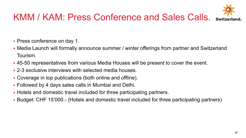#### KMM / KAM: Press Conference and Sales Calls.



- Press conference on day 1.
- Media Launch will formally announce summer / winter offerings from partner and Switzerland Tourism.
- § 45-50 representatives from various Media Houses will be present to cover the event.
- § 2-3 exclusive interviews with selected media houses.
- Coverage in top publications (both online and offline).
- § Followed by 4 days sales calls in Mumbai and Delhi.
- § Hotels and domestic travel included for three participating partners.
- § Budget: CHF 15'000.- (Hotels and domestic travel included for three participating partners)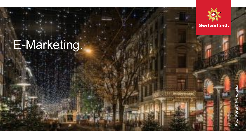### E -Marketing.



Switzerland.

Place, Region © Photographer Place, Region © Photographer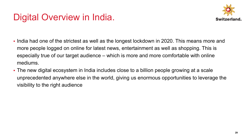#### Digital Overview in India.



- India had one of the strictest as well as the longest lockdown in 2020. This means more and more people logged on online for latest news, entertainment as well as shopping. This is especially true of our target audience – which is more and more comfortable with online mediums.
- § The new digital ecosystem in India includes close to a billion people growing at a scale unprecedented anywhere else in the world, giving us enormous opportunities to leverage the visibility to the right audience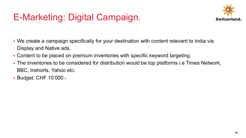#### E-Marketing: Digital Campaign.



- § We create a campaign specifically for your destination with content relevant to India via Display and Native ads.
- § Content to be placed on premium inventories with specific keyword targeting.
- The inventories to be considered for distribution would be top platforms i.e Times Network, BBC, Inshorts, Yahoo etc.
- § Budget: CHF 10'000.-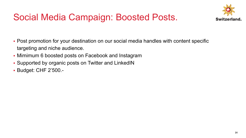

#### Social Media Campaign: Boosted Posts.

- Post promotion for your destination on our social media handles with content specific targeting and niche audience.
- Mimimum 6 boosted posts on Facebook and Instagram
- § Supported by organic posts on Twitter and LinkedIN
- § Budget: CHF 2'500.-